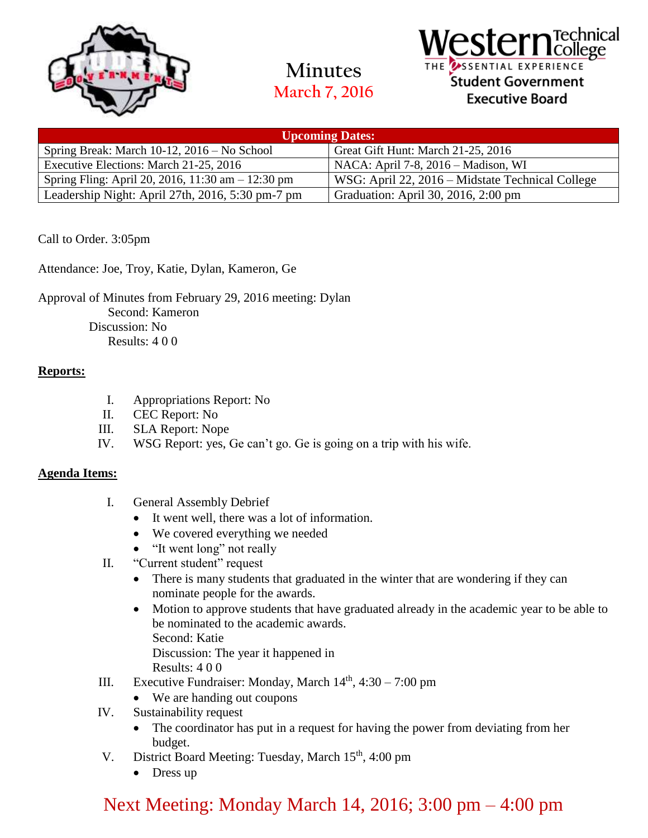

**Minutes March 7, 2016**

### Technical **I**college SSENTIAL EXPERIENCE Student Government **Executive Board**

| <b>Upcoming Dates:</b>                              |                                                  |
|-----------------------------------------------------|--------------------------------------------------|
| Spring Break: March 10-12, 2016 – No School         | Great Gift Hunt: March 21-25, 2016               |
| Executive Elections: March 21-25, 2016              | NACA: April 7-8, 2016 – Madison, WI              |
| Spring Fling: April 20, 2016, 11:30 am $- 12:30$ pm | WSG: April 22, 2016 – Midstate Technical College |
| Leadership Night: April 27th, 2016, 5:30 pm-7 pm    | Graduation: April 30, 2016, 2:00 pm              |

Call to Order. 3:05pm

Attendance: Joe, Troy, Katie, Dylan, Kameron, Ge

Approval of Minutes from February 29, 2016 meeting: Dylan Second: Kameron Discussion: No Results: 4 0 0

### **Reports:**

- I. Appropriations Report: No
- II. CEC Report: No
- III. SLA Report: Nope
- IV. WSG Report: yes, Ge can't go. Ge is going on a trip with his wife.

### **Agenda Items:**

- I. General Assembly Debrief
	- It went well, there was a lot of information.
	- We covered everything we needed
	- "It went long" not really
- II. "Current student" request
	- There is many students that graduated in the winter that are wondering if they can nominate people for the awards.
	- Motion to approve students that have graduated already in the academic year to be able to be nominated to the academic awards. Second: Katie Discussion: The year it happened in

Results: 4 0 0

- III. Executive Fundraiser: Monday, March  $14<sup>th</sup>$ , 4:30 7:00 pm
	- We are handing out coupons
- IV. Sustainability request
	- The coordinator has put in a request for having the power from deviating from her budget.
- V. District Board Meeting: Tuesday, March 15<sup>th</sup>, 4:00 pm
	- Dress up

# Next Meeting: Monday March 14, 2016; 3:00 pm – 4:00 pm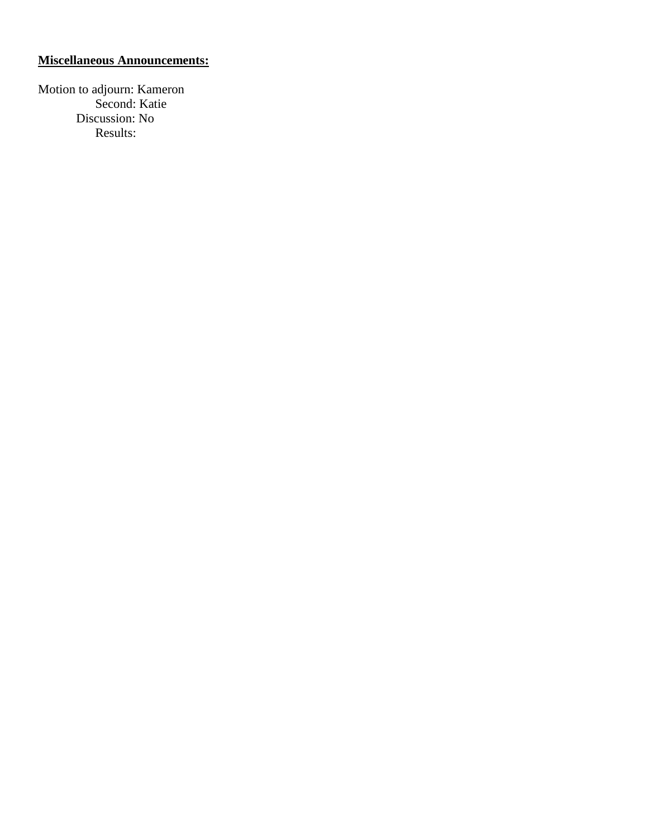### **Miscellaneous Announcements:**

Motion to adjourn: Kameron Second: Katie Discussion: No Results: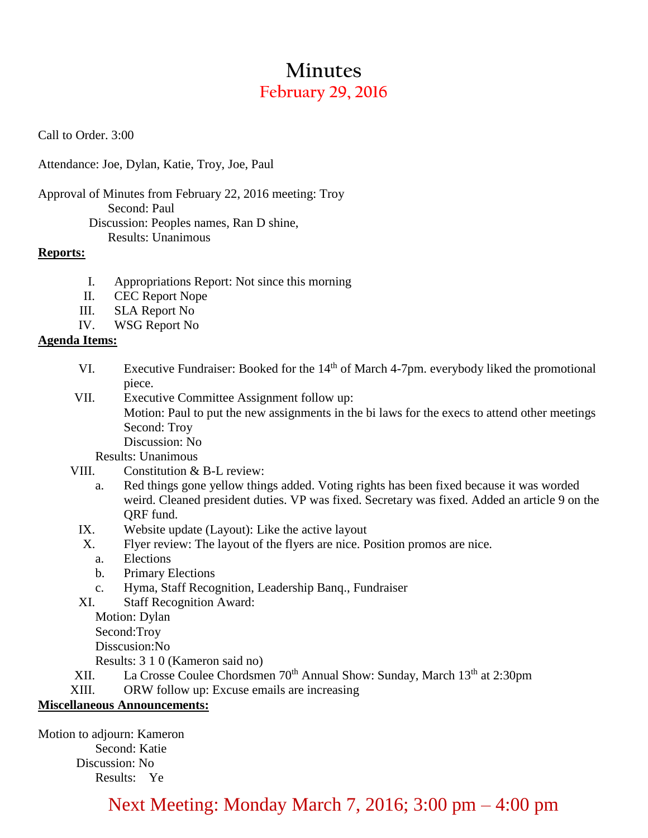# **Minutes February 29, 2016**

Call to Order. 3:00

Attendance: Joe, Dylan, Katie, Troy, Joe, Paul

Approval of Minutes from February 22, 2016 meeting: Troy Second: Paul Discussion: Peoples names, Ran D shine,

Results: Unanimous

### **Reports:**

- I. Appropriations Report: Not since this morning
- II. CEC Report Nope
- III. SLA Report No
- IV. WSG Report No

### **Agenda Items:**

- VI. Executive Fundraiser: Booked for the 14<sup>th</sup> of March 4-7pm. everybody liked the promotional piece.
- VII. Executive Committee Assignment follow up:

Motion: Paul to put the new assignments in the bi laws for the execs to attend other meetings Second: Troy

Discussion: No

Results: Unanimous

- VIII. Constitution & B-L review:
	- a. Red things gone yellow things added. Voting rights has been fixed because it was worded weird. Cleaned president duties. VP was fixed. Secretary was fixed. Added an article 9 on the QRF fund.
	- IX. Website update (Layout): Like the active layout
	- X. Flyer review: The layout of the flyers are nice. Position promos are nice.
		- a. Elections
		- b. Primary Elections
		- c. Hyma, Staff Recognition, Leadership Banq., Fundraiser
	- XI. Staff Recognition Award:

Motion: Dylan Second:Troy Disscusion:No

Results: 3 1 0 (Kameron said no)

- XII. La Crosse Coulee Chordsmen 70<sup>th</sup> Annual Show: Sunday, March 13<sup>th</sup> at 2:30pm
- XIII. ORW follow up: Excuse emails are increasing

### **Miscellaneous Announcements:**

Motion to adjourn: Kameron Second: Katie Discussion: No Results: Ye

### Next Meeting: Monday March 7, 2016; 3:00 pm – 4:00 pm